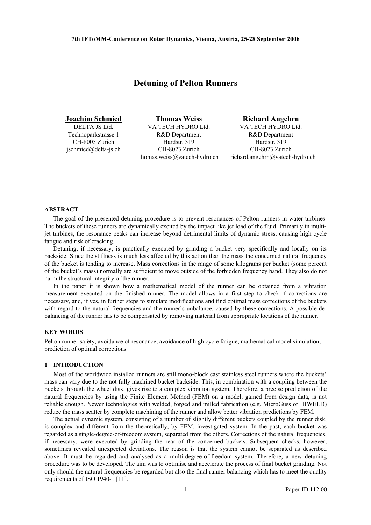# **Detuning of Pelton Runners**

DELTA JS Ltd. Technoparkstrasse 1 CH-8005 Zurich [jschmied@delta-js.ch](mailto:jschmied@delta-js.ch)

**Joachim Schmied Thomas Weiss Richard Angehrn**  VA TECH HYDRO Ltd. R&D Department Hardstr. 319 CH-8023 Zurich [thomas.weiss@vatech-hydro.ch](mailto:thomas.weiss@vatech-hydro.ch)

VA TECH HYDRO Ltd. R&D Department Hardstr. 319 CH-8023 Zurich [richard.angehrn@vatech-hydro.ch](mailto:richard.angehrn@vatech-hydro.ch)

### **ABSTRACT**

The goal of the presented detuning procedure is to prevent resonances of Pelton runners in water turbines. The buckets of these runners are dynamically excited by the impact like jet load of the fluid. Primarily in multijet turbines, the resonance peaks can increase beyond detrimental limits of dynamic stress, causing high cycle fatigue and risk of cracking.

Detuning, if necessary, is practically executed by grinding a bucket very specifically and locally on its backside. Since the stiffness is much less affected by this action than the mass the concerned natural frequency of the bucket is tending to increase. Mass corrections in the range of some kilograms per bucket (some percent of the bucket's mass) normally are sufficient to move outside of the forbidden frequency band. They also do not harm the structural integrity of the runner.

In the paper it is shown how a mathematical model of the runner can be obtained from a vibration measurement executed on the finished runner. The model allows in a first step to check if corrections are necessary, and, if yes, in further steps to simulate modifications and find optimal mass corrections of the buckets with regard to the natural frequencies and the runner's unbalance, caused by these corrections. A possible debalancing of the runner has to be compensated by removing material from appropriate locations of the runner.

### **KEY WORDS**

Pelton runner safety, avoidance of resonance, avoidance of high cycle fatigue, mathematical model simulation, prediction of optimal corrections

## **1 INTRODUCTION**

Most of the worldwide installed runners are still mono-block cast stainless steel runners where the buckets' mass can vary due to the not fully machined bucket backside. This, in combination with a coupling between the buckets through the wheel disk, gives rise to a complex vibration system. Therefore, a precise prediction of the natural frequencies by using the Finite Element Method (FEM) on a model, gained from design data, is not reliable enough. Newer technologies with welded, forged and milled fabrication (e.g. MicroGuss or HIWELD) reduce the mass scatter by complete machining of the runner and allow better vibration predictions by FEM.

The actual dynamic system, consisting of a number of slightly different buckets coupled by the runner disk, is complex and different from the theoretically, by FEM, investigated system. In the past, each bucket was regarded as a single-degree-of-freedom system, separated from the others. Corrections of the natural frequencies, if necessary, were executed by grinding the rear of the concerned buckets. Subsequent checks, however, sometimes revealed unexpected deviations. The reason is that the system cannot be separated as described above. It must be regarded and analysed as a multi-degree-of-freedom system. Therefore, a new detuning procedure was to be developed. The aim was to optimise and accelerate the process of final bucket grinding. Not only should the natural frequencies be regarded but also the final runner balancing which has to meet the quality requirements of ISO 1940-1 [11].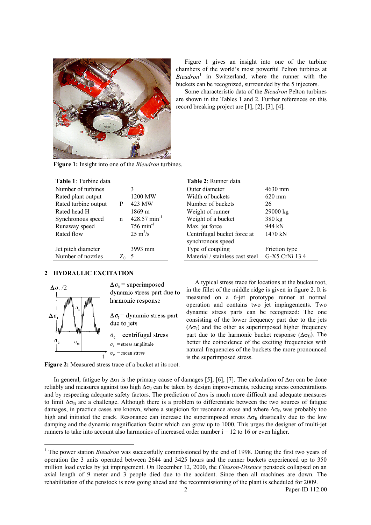

Figure 1 gives an insight into one of the turbine chambers of the world's most powerful Pelton turbines at *Bieudron*[1](#page-1-0) in Switzerland, where the runner with the buckets can be recognized, surrounded by the 5 injectors.

Some characteristic data of the *Bieudron* Pelton turbines are shown in the Tables 1 and 2. Further references on this record breaking project are [1], [2], [3], [4].

**Figure 1:** Insight into one of the *Bieudron* turbines.

| Table 1: Turbine data |   |                            | Table 2: Runner data                             |                  |
|-----------------------|---|----------------------------|--------------------------------------------------|------------------|
| Number of turbines    |   | 3                          | Outer diameter                                   | $4630$ mm        |
| Rated plant output    |   | 1200 MW                    | Width of buckets                                 | $620 \text{ mm}$ |
| Rated turbine output  | P | 423 MW                     | Number of buckets                                | 26               |
| Rated head H          |   | 1869 m                     | Weight of runner                                 | 29000 kg         |
| Synchronous speed     | n | $428.57$ min <sup>-1</sup> | Weight of a bucket                               | $380$ kg         |
| Runaway speed         |   | $756 \text{ min}^{-1}$     | Max. jet force                                   | 944 kN           |
| Rated flow            |   | $25 \text{ m}^3/\text{s}$  | Centrifugal bucket force at<br>synchronous speed | 1470 kN          |
| Jet pitch diameter    |   | 3993 mm                    | Type of coupling                                 | Friction type    |
| Number of nozzles     |   | $Z_0$ 5                    | Material / stainless cast steel                  | G-X5 CrNi 13 4   |

| 2 HYDRAULIC EXCITATION |  |
|------------------------|--|

 $\overline{a}$ 



|                     | <b>Table 2:</b> Runner data     |                  |
|---------------------|---------------------------------|------------------|
|                     | Outer diameter                  | 4630 mm          |
| МW                  | Width of buckets                | $620 \text{ mm}$ |
| ſW                  | Number of buckets               | 26               |
| m                   | Weight of runner                | 29000 kg         |
| 7 min <sup>-1</sup> | Weight of a bucket              | 380 kg           |
| $\sin^{-1}$         | Max. jet force                  | 944 kN           |
| /s                  | Centrifugal bucket force at     | 1470 kN          |
|                     | synchronous speed               |                  |
| mm                  | Type of coupling                | Friction type    |
|                     | Material / stainless cast steel | G-X5 CrNi 13 4   |

A typical stress trace for locations at the bucket root, in the fillet of the middle ridge is given in figure 2. It is measured on a 6-jet prototype runner at normal operation and contains two jet impingements. Two dynamic stress parts can be recognized: The one consisting of the lower frequency part due to the jets  $(\Delta \sigma)$  and the other as superimposed higher frequency part due to the harmonic bucket response  $(\Delta \sigma_B)$ . The better the coincidence of the exciting frequencies with natural frequencies of the buckets the more pronounced is the superimposed stress.

**Figure 2:** Measured stress trace of a bucket at its root.

In general, fatigue by  $\Delta\sigma_1$  is the primary cause of damages [5], [6], [7]. The calculation of  $\Delta\sigma_1$  can be done reliably and measures against too high  $\Delta \sigma_J$  can be taken by design improvements, reducing stress concentrations and by respecting adequate safety factors. The prediction of  $\Delta\sigma_B$  is much more difficult and adequate measures to limit  $\Delta\sigma_B$  are a challenge. Although there is a problem to differentiate between the two sources of fatigue damages, in practice cases are known, where a suspicion for resonance arose and where  $\Delta\sigma_B$  was probably too high and initiated the crack. Resonance can increase the superimposed stress  $\Delta\sigma_B$  drastically due to the low damping and the dynamic magnification factor which can grow up to 1000. This urges the designer of multi-jet runners to take into account also harmonics of increased order number  $i = 12$  to 16 or even higher.

<span id="page-1-0"></span><sup>&</sup>lt;sup>1</sup> The power station *Bieudron* was successfully commissioned by the end of 1998. During the first two years of operation the 3 units operated between 2644 and 3425 hours and the runner buckets experienced up to 350 million load cycles by jet impingement. On December 12, 2000, the *Cleuson-Dixence* penstock collapsed on an axial length of 9 meter and 3 people died due to the accident. Since then all machines are down. The rehabilitation of the penstock is now going ahead and the recommissioning of the plant is scheduled for 2009.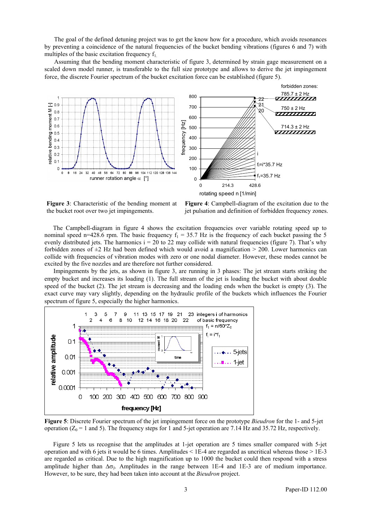The goal of the defined detuning project was to get the know how for a procedure, which avoids resonances by preventing a coincidence of the natural frequencies of the bucket bending vibrations (figures 6 and 7) with multiples of the basic excitation frequency  $f_1$ .

Assuming that the bending moment characteristic of figure 3, determined by strain gage measurement on a scaled down model runner, is transferable to the full size prototype and allows to derive the jet impingement force, the discrete Fourier spectrum of the bucket excitation force can be established (figure 5).



**Figure 3**: Characteristic of the bending moment at the bucket root over two jet impingements.

**Figure 4**: Campbell-diagram of the excitation due to the jet pulsation and definition of forbidden frequency zones.

The Campbell-diagram in figure 4 shows the excitation frequencies over variable rotating speed up to nominal speed n=428.6 rpm. The basic frequency  $f_1 = 35.7$  Hz is the frequency of each bucket passing the 5 evenly distributed jets. The harmonics  $i = 20$  to 22 may collide with natural frequencies (figure 7). That's why forbidden zones of  $\pm 2$  Hz had been defined which would avoid a magnification  $> 200$ . Lower harmonics can collide with frequencies of vibration modes with zero or one nodal diameter. However, these modes cannot be excited by the five nozzles and are therefore not further considered.

Impingements by the jets, as shown in figure 3, are running in 3 phases: The jet stream starts striking the empty bucket and increases its loading (1). The full stream of the jet is loading the bucket with about double speed of the bucket (2). The jet stream is decreasing and the loading ends when the bucket is empty (3). The exact curve may vary slightly, depending on the hydraulic profile of the buckets which influences the Fourier spectrum of figure 5, especially the higher harmonics.



**Figure 5**: Discrete Fourier spectrum of the jet impingement force on the prototype *Bieudron* for the 1- and 5-jet operation ( $Z_0 = 1$  and 5). The frequency steps for 1 and 5-jet operation are 7.14 Hz and 35.72 Hz, respectively.

Figure 5 lets us recognise that the amplitudes at 1-jet operation are 5 times smaller compared with 5-jet operation and with 6 jets it would be 6 times. Amplitudes  $\leq 1E-4$  are regarded as uncritical whereas those  $> 1E-3$ are regarded as critical. Due to the high magnification up to 1000 the bucket could then respond with a stress amplitude higher than  $\Delta \sigma_1$ . Amplitudes in the range between 1E-4 and 1E-3 are of medium importance. However, to be sure, they had been taken into account at the *Bieudron* project.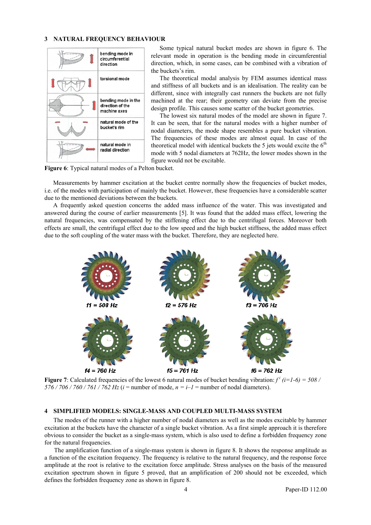#### **3 NATURAL FREQUENCY BEHAVIOUR**



Some typical natural bucket modes are shown in figure 6. The relevant mode in operation is the bending mode in circumferential direction, which, in some cases, can be combined with a vibration of the buckets's rim.

The theoretical modal analysis by FEM assumes identical mass and stiffness of all buckets and is an idealisation. The reality can be different, since with integrally cast runners the buckets are not fully machined at the rear; their geometry can deviate from the precise design profile. This causes some scatter of the bucket geometries.

The lowest six natural modes of the model are shown in figure 7. It can be seen, that for the natural modes with a higher number of nodal diameters, the mode shape resembles a pure bucket vibration. The frequencies of these modes are almost equal. In case of the theoretical model with identical buckets the 5 jets would excite the  $6<sup>th</sup>$ mode with 5 nodal diameters at 762Hz, the lower modes shown in the figure would not be excitable.

**Figure 6**: Typical natural modes of a Pelton bucket.

Measurements by hammer excitation at the bucket centre normally show the frequencies of bucket modes, i.e. of the modes with participation of mainly the bucket. However, these frequencies have a considerable scatter due to the mentioned deviations between the buckets.

A frequently asked question concerns the added mass influence of the water. This was investigated and answered during the course of earlier measurements [5]. It was found that the added mass effect, lowering the natural frequencies, was compensated by the stiffening effect due to the centrifugal forces. Moreover both effects are small, the centrifugal effect due to the low speed and the high bucket stiffness, the added mass effect due to the soft coupling of the water mass with the bucket. Therefore, they are neglected here.



**Figure 7**: Calculated frequencies of the lowest 6 natural modes of bucket bending vibration:  $f^{i}$  ( $i=1-6$ ) = 508 / *576 / 706 / 760 / 761 / 762 Hz* (*i* = number of mode, *n = i–1* = number of nodal diameters).

#### **4 SIMPLIFIED MODELS: SINGLE-MASS AND COUPLED MULTI-MASS SYSTEM**

The modes of the runner with a higher number of nodal diameters as well as the modes excitable by hammer excitation at the buckets have the character of a single bucket vibration. As a first simple approach it is therefore obvious to consider the bucket as a single-mass system, which is also used to define a forbidden frequency zone for the natural frequencies.

The amplification function of a single-mass system is shown in figure 8. It shows the response amplitude as a function of the excitation frequency. The frequency is relative to the natural frequency, and the response force amplitude at the root is relative to the excitation force amplitude. Stress analyses on the basis of the measured excitation spectrum shown in figure 5 proved, that an amplification of 200 should not be exceeded, which defines the forbidden frequency zone as shown in figure 8.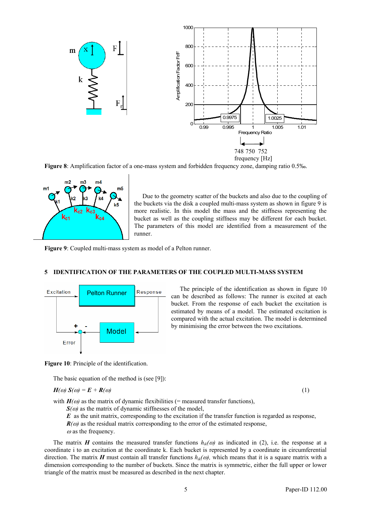

**Figure 8**: Amplification factor of a one-mass system and forbidden frequency zone, damping ratio 0.5‰.



Due to the geometry scatter of the buckets and also due to the coupling of the buckets via the disk a coupled multi-mass system as shown in figure 9 is more realistic. In this model the mass and the stiffness representing the bucket as well as the coupling stiffness may be different for each bucket. The parameters of this model are identified from a measurement of the runner.

**Figure 9**: Coupled multi-mass system as model of a Pelton runner.

## **5 IDENTIFICATION OF THE PARAMETERS OF THE COUPLED MULTI-MASS SYSTEM**



The principle of the identification as shown in figure 10 can be described as follows: The runner is excited at each bucket. From the response of each bucket the excitation is estimated by means of a model. The estimated excitation is compared with the actual excitation. The model is determined by minimising the error between the two excitations.

**Figure 10**: Principle of the identification.

The basic equation of the method is (see [9]):

$$
H(\omega) S(\omega) = E + R(\omega) \tag{1}
$$

with  $H(\omega)$  as the matrix of dynamic flexibilities (= measured transfer functions),

 $S(\omega)$  as the matrix of dynamic stiffnesses of the model,

*E* as the unit matrix, corresponding to the excitation if the transfer function is regarded as response,  $R(\omega)$  as the residual matrix corresponding to the error of the estimated response,

 $\omega$  as the frequency.

The matrix *H* contains the measured transfer functions  $h_{ik}(\omega)$  as indicated in (2), i.e. the response at a coordinate i to an excitation at the coordinate k. Each bucket is represented by a coordinate in circumferential direction. The matrix *H* must contain all transfer functions  $h_{ik}(\omega)$ , which means that it is a square matrix with a dimension corresponding to the number of buckets. Since the matrix is symmetric, either the full upper or lower triangle of the matrix must be measured as described in the next chapter.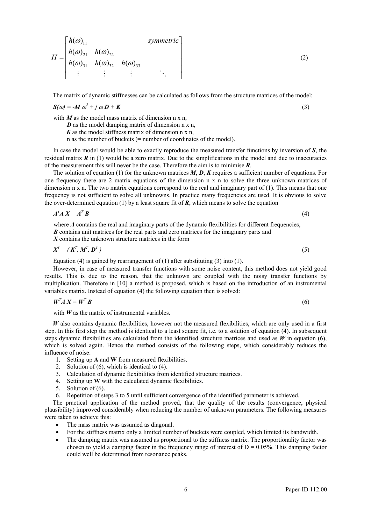$$
H = \begin{bmatrix} h(\omega)_{11} & \text{symmetric} \\ h(\omega)_{21} & h(\omega)_{22} \\ h(\omega)_{31} & h(\omega)_{32} & h(\omega)_{33} \\ \vdots & \vdots & \vdots & \ddots \end{bmatrix}
$$
 (2)

The matrix of dynamic stiffnesses can be calculated as follows from the structure matrices of the model:

$$
S(\omega) = -M \omega^2 + j \omega D + K \tag{3}
$$

with  $M$  as the model mass matrix of dimension  $n \times n$ .

*D* as the model damping matrix of dimension n x n,

 *as the model stiffness matrix of dimension*  $n \times n$ *,* 

n as the number of buckets (= number of coordinates of the model).

In case the model would be able to exactly reproduce the measured transfer functions by inversion of *S*, the residual matrix  $\bf{R}$  in (1) would be a zero matrix. Due to the simplifications in the model and due to inaccuracies of the measurement this will never be the case. Therefore the aim is to minimise *R*.

The solution of equation (1) for the unknown matrices *M*, *D*, *K* requires a sufficient number of equations. For one frequency there are 2 matrix equations of the dimension n x n to solve the three unknown matrices of dimension n x n. The two matrix equations correspond to the real and imaginary part of (1). This means that one frequency is not sufficient to solve all unknowns. In practice many frequencies are used. It is obvious to solve the over-determined equation (1) by a least square fit of *, which means to solve the equation* 

$$
A^T A X = A^T B \tag{4}
$$

where *A* contains the real and imaginary parts of the dynamic flexibilities for different frequencies, *B* contains unit matrices for the real parts and zero matrices for the imaginary parts and

*X* contains the unknown structure matrices in the form

$$
\boldsymbol{X}^T = (\boldsymbol{K}^T, \boldsymbol{M}^T, \boldsymbol{D}^T) \tag{5}
$$

Equation (4) is gained by rearrangement of (1) after substituting (3) into (1).

However, in case of measured transfer functions with some noise content, this method does not yield good results. This is due to the reason, that the unknown are coupled with the noisy transfer functions by multiplication. Therefore in [10] a method is proposed, which is based on the introduction of an instrumental variables matrix. Instead of equation (4) the following equation then is solved:

$$
W^T A X = W^T B
$$
 (6)

with  $W$  as the matrix of instrumental variables.

*W* also contains dynamic flexibilities, however not the measured flexibilities, which are only used in a first step. In this first step the method is identical to a least square fit, i.e. to a solution of equation (4). In subsequent steps dynamic flexibilities are calculated from the identified structure matrices and used as  $W$  in equation (6), which is solved again. Hence the method consists of the following steps, which considerably reduces the influence of noise:

- 1. Setting up **A** and **W** from measured flexibilities.
- 2. Solution of (6), which is identical to (4).
- 3. Calculation of dynamic flexibilities from identified structure matrices.
- 4. Setting up **W** with the calculated dynamic flexibilities.<br>5. Solution of  $(6)$ .
- Solution of  $(6)$ .
- 6. Repetition of steps 3 to 5 until sufficient convergence of the identified parameter is achieved.

The practical application of the method proved, that the quality of the results (convergence, physical plausibility) improved considerably when reducing the number of unknown parameters. The following measures were taken to achieve this:

- The mass matrix was assumed as diagonal.
- For the stiffness matrix only a limited number of buckets were coupled, which limited its bandwidth.
- The damping matrix was assumed as proportional to the stiffness matrix. The proportionality factor was chosen to yield a damping factor in the frequency range of interest of  $D = 0.05\%$ . This damping factor could well be determined from resonance peaks.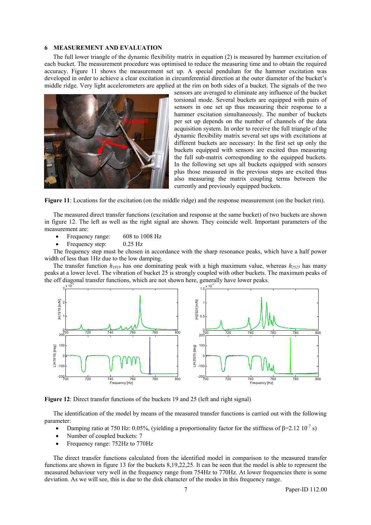#### **6 MEASUREMENT AND EVALUATION**

The full lower triangle of the dynamic flexibility matrix in equation (2) is measured by hammer excitation of each bucket. The measurement procedure was optimised to reduce the measuring time and to obtain the required accuracy. Figure 11 shows the measurement set up. A special pendulum for the hammer excitation was developed in order to achieve a clear excitation in circumferential direction at the outer diameter of the bucket's middle ridge. Very light accelerometers are applied at the rim on both sides of a bucket. The signals of the two



sensors are averaged to eliminate any influence of the bucket torsional mode. Several buckets are equipped with pairs of sensors in one set up thus measuring their response to a hammer excitation simultaneously. The number of buckets per set up depends on the number of channels of the data acquisition system. In order to receive the full triangle of the dynamic flexibility matrix several set ups with excitations at different buckets are necessary: In the first set up only the buckets equipped with sensors are excited thus measuring the full sub-matrix corresponding to the equipped buckets. In the following set ups all buckets equipped with sensors plus those measured in the previous steps are excited thus also measuring the matrix coupling terms between the currently and previously equipped buckets.

**Figure 11**: Locations for the excitation (on the middle ridge) and the response measurement (on the bucket rim).

The measured direct transfer functions (excitation and response at the same bucket) of two buckets are shown in figure 12. The left as well as the right signal are shown. They coincide well. Important parameters of the measurement are:

- Frequency range: 608 to 1008 Hz
- Frequency step:  $0.25$  Hz

The frequency step must be chosen in accordance with the sharp resonance peaks, which have a half power width of less than 1Hz due to the low damping.

The transfer function  $h_{1919}$  has one dominating peak with a high maximum value, whereas  $h_{2525}$  has many peaks at a lower level. The vibration of bucket 25 is strongly coupled with other buckets. The maximum peaks of the off diagonal transfer functions, which are not shown here, generally have lower peaks.



Figure 12: Direct transfer functions of the buckets 19 and 25 (left and right signal)

The identification of the model by means of the measured transfer functions is carried out with the following parameter:

- Damping ratio at 750 Hz: 0.05%, (yielding a proportionality factor for the stiffness of  $\beta$ =2.12 10<sup>-7</sup> s)
- Number of coupled buckets: 7
- Frequency range: 752Hz to 770Hz

The direct transfer functions calculated from the identified model in comparison to the measured transfer functions are shown in figure 13 for the buckets 8,19,22,25. It can be seen that the model is able to represent the measured behaviour very well in the frequency range from 754Hz to 770Hz. At lower frequencies there is some deviation. As we will see, this is due to the disk character of the modes in this frequency range.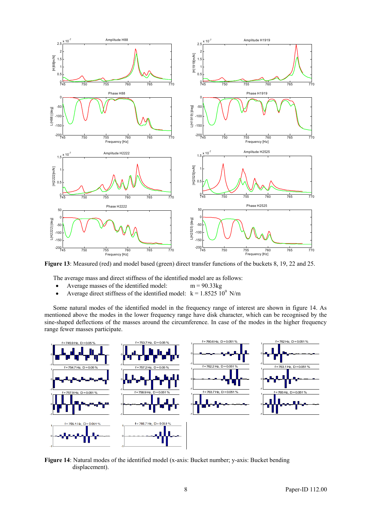

**Figure 13**: Measured (red) and model based (green) direct transfer functions of the buckets 8, 19, 22 and 25.

The average mass and direct stiffness of the identified model are as follows:

- Average masses of the identified model: m = 90.33kg
- Average direct stiffness of the identified model:  $k = 1.8525 \frac{10^9}{M/m}$

Some natural modes of the identified model in the frequency range of interest are shown in figure 14. As mentioned above the modes in the lower frequency range have disk character, which can be recognised by the sine-shaped deflections of the masses around the circumference. In case of the modes in the higher frequency range fewer masses participate.



**Figure 14**: Natural modes of the identified model (x-axis: Bucket number; y-axis: Bucket bending displacement).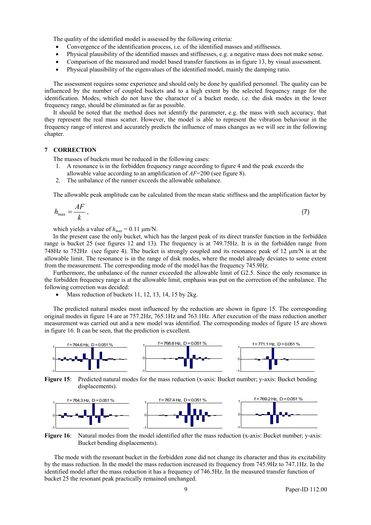The quality of the identified model is assessed by the following criteria:

- Convergence of the identification process, i.e. of the identified masses and stiffnesses.
- Physical plausibility of the identified masses and stiffnesses, e.g. a negative mass does not make sense.
- Comparison of the measured and model based transfer functions as in figure 13, by visual assessment.
- Physical plausibility of the eigenvalues of the identified model, mainly the damping ratio.

The assessment requires some experience and should only be done by qualified personnel. The quality can be influenced by the number of coupled buckets and to a high extent by the selected frequency range for the identification. Modes, which do not have the character of a bucket mode, i.e. the disk modes in the lower frequency range, should be eliminated as far as possible.

It should be noted that the method does not identify the parameter, e.g. the mass with such accuracy, that they represent the real mass scatter. However, the model is able to represent the vibration behaviour in the frequency range of interest and accurately predicts the influence of mass changes as we will see in the following chapter.

## **7 CORRECTION**

The masses of buckets must be reduced in the following cases:

- 1. A resonance is in the forbidden frequency range according to figure 4 and the peak exceeds the allowable value according to an amplification of *AF*=200 (see figure 8).
- 2. The unbalance of the runner exceeds the allowable unbalance.

The allowable peak amplitude can be calculated from the mean static stiffness and the amplification factor by

$$
h_{\text{max}} = \frac{AF}{k} \,,\tag{7}
$$

which yields a value of  $h_{max} = 0.11 \text{ }\mu\text{m/N}$ .

In the present case the only bucket, which has the largest peak of its direct transfer function in the forbidden range is bucket 25 (see figures 12 and 13). The frequency is at 749.75Hz. It is in the forbidden range from 748Hz to 752Hz (see figure 4). The bucket is strongly coupled and its resonance peak of 12 μm/N is at the allowable limit. The resonance is in the range of disk modes, where the model already deviates to some extent from the measurement. The corresponding mode of the model has the frequency 745.9Hz.

Furthermore, the unbalance of the runner exceeded the allowable limit of G2.5. Since the only resonance in the forbidden frequency range is at the allowable limit, emphasis was put on the correction of the unbalance. The following correction was decided:

• Mass reduction of buckets 11, 12, 13, 14, 15 by 2kg.

The predicted natural modes most influenced by the reduction are shown in figure 15. The corresponding original modes in figure 14 are at 757.2Hz, 765.1Hz and 763.1Hz. After execution of the mass reduction another measurement was carried out and a new model was identified. The corresponding modes of figure 15 are shown in figure 16. It can be seen, that the prediction is excellent.



**Figure 15**: Predicted natural modes for the mass reduction (x-axis: Bucket number; y-axis: Bucket bending displacements).



**Figure 16**: Natural modes from the model identified after the mass reduction (x-axis: Bucket number; y-axis: Bucket bending displacements).

The mode with the resonant bucket in the forbidden zone did not change its character and thus its excitability by the mass reduction. In the model the mass reduction increased its frequency from 745.9Hz to 747.1Hz. In the identified model after the mass reduction it has a frequency of 746.5Hz. In the measured transfer function of bucket 25 the resonant peak practically remained unchanged.